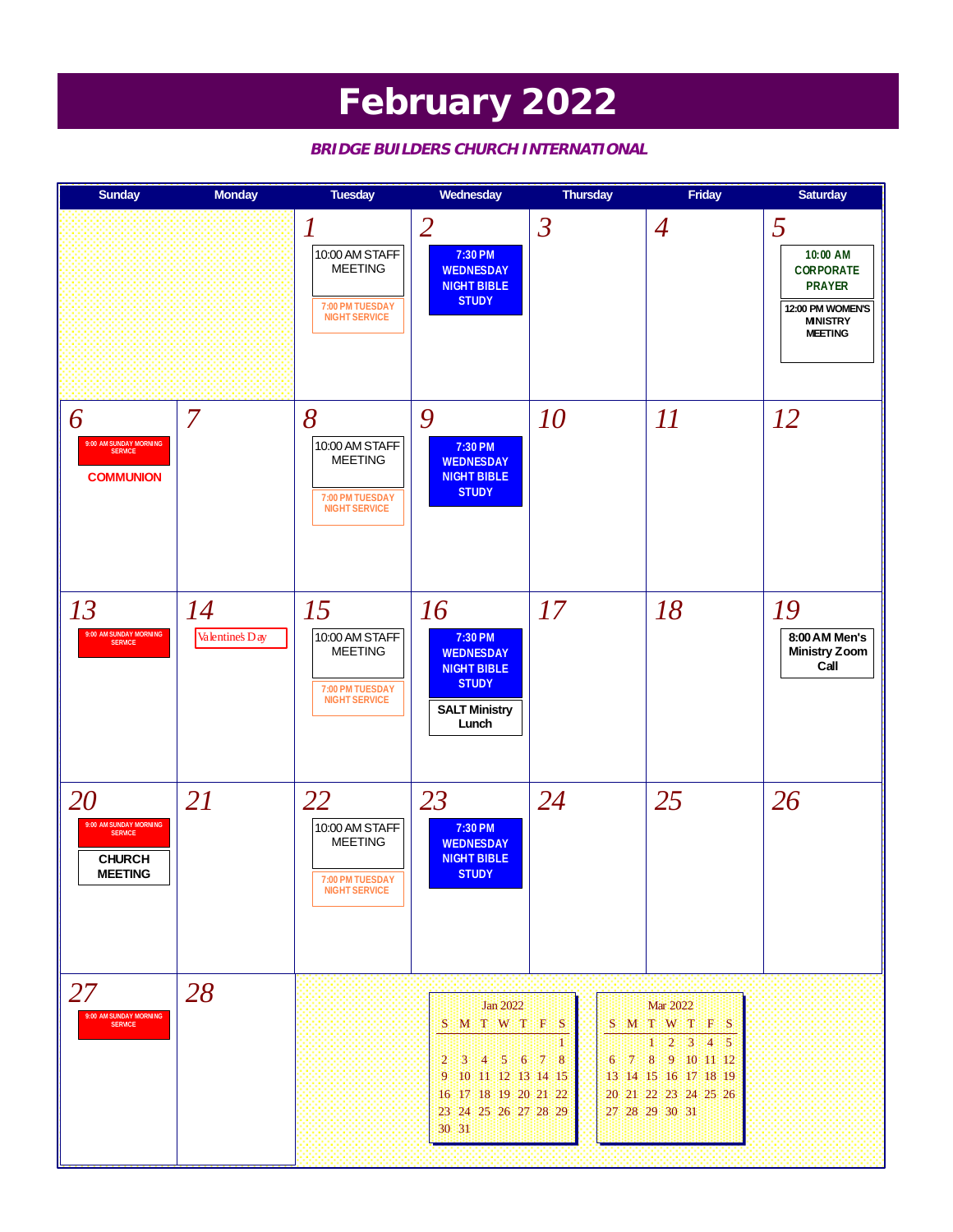### **February 2022**

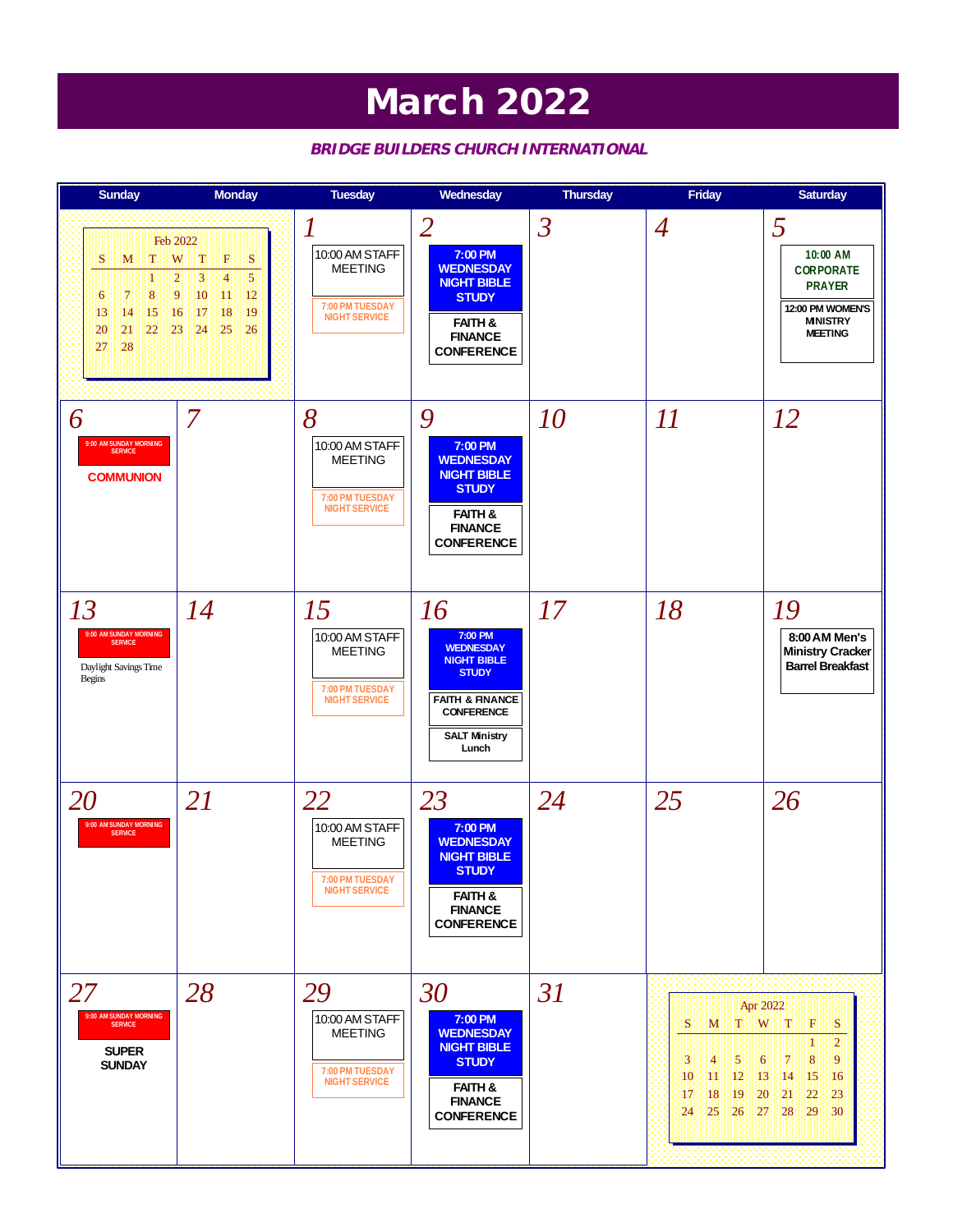### **March 2022**

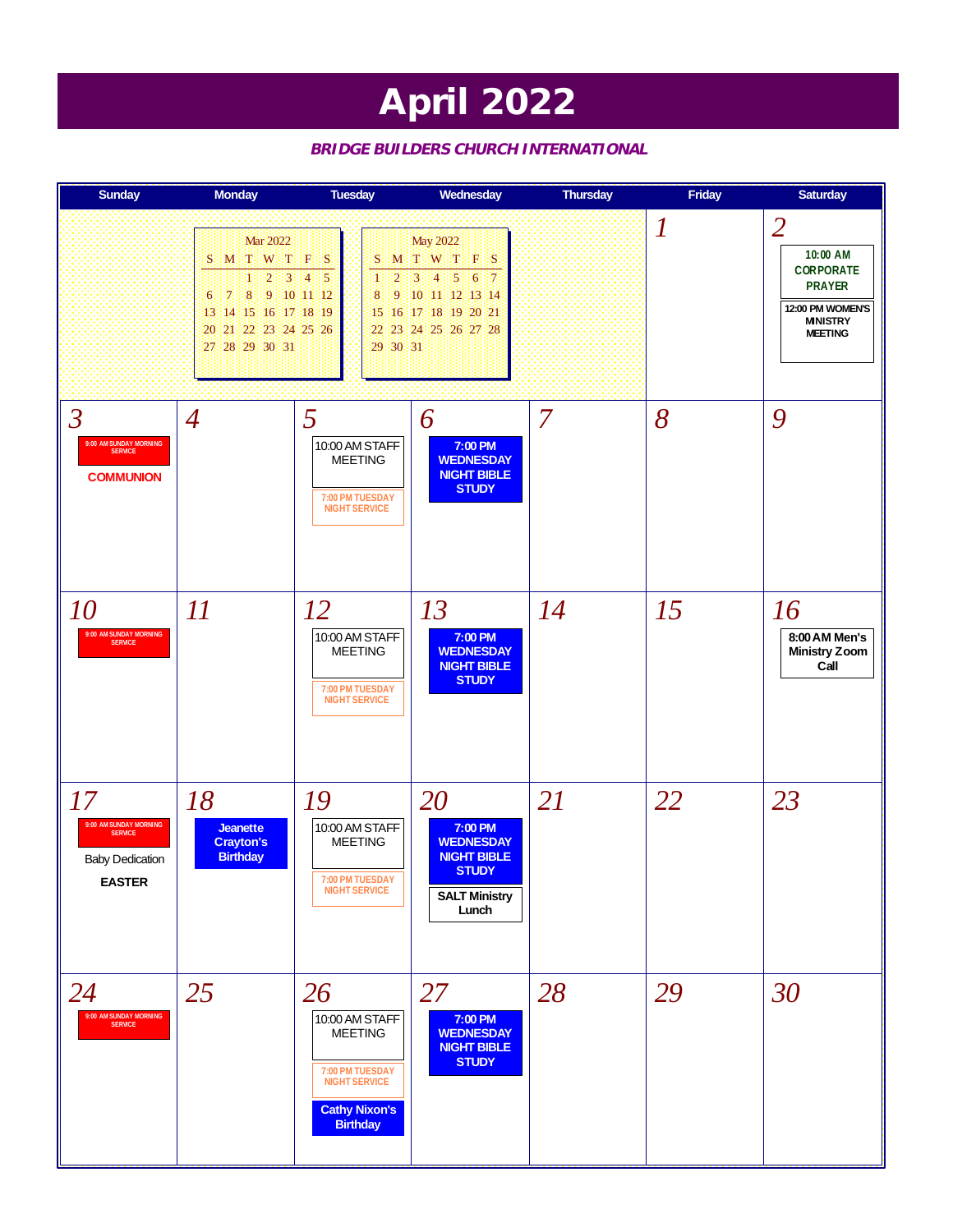## **April 2022**

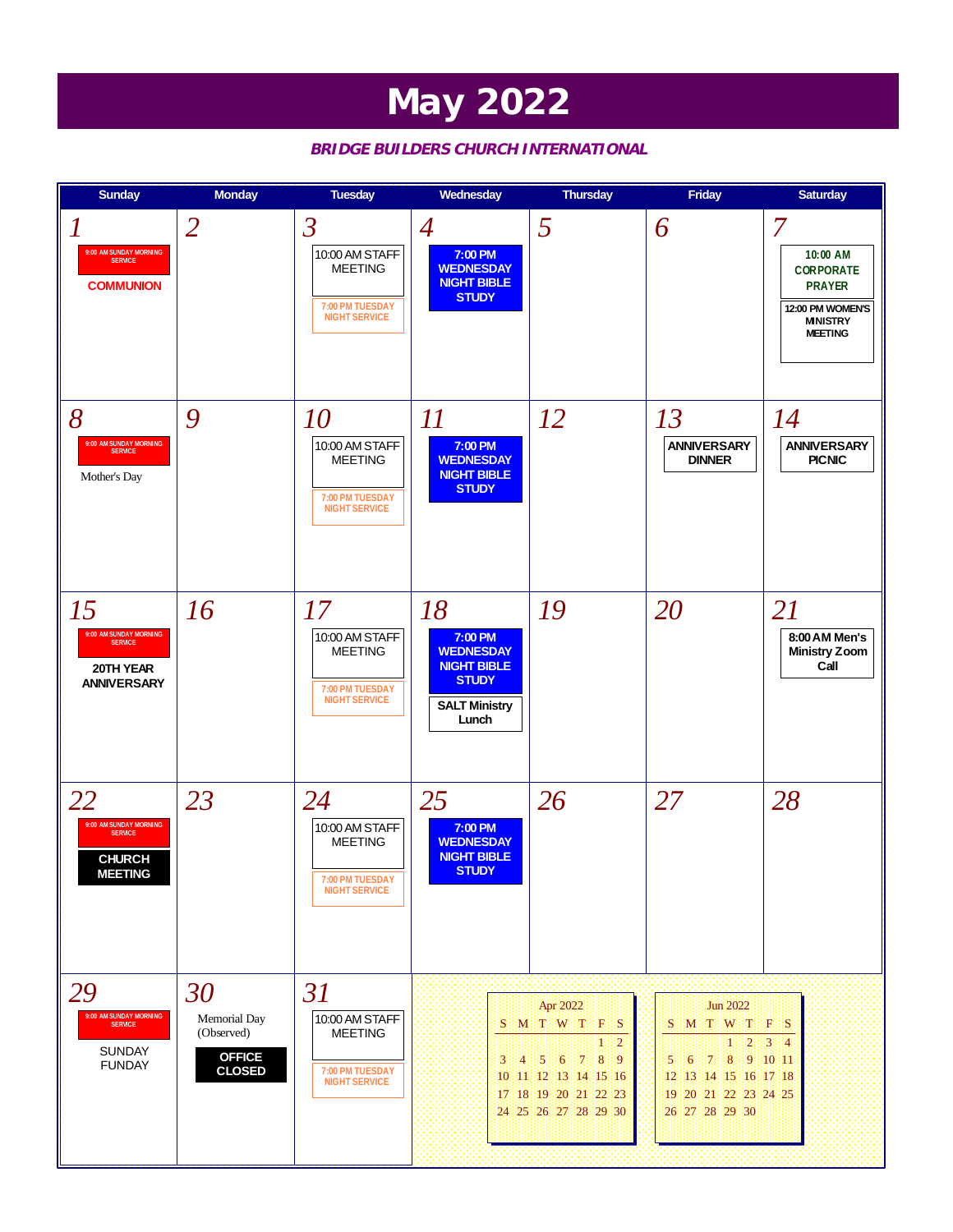### **May 2022**

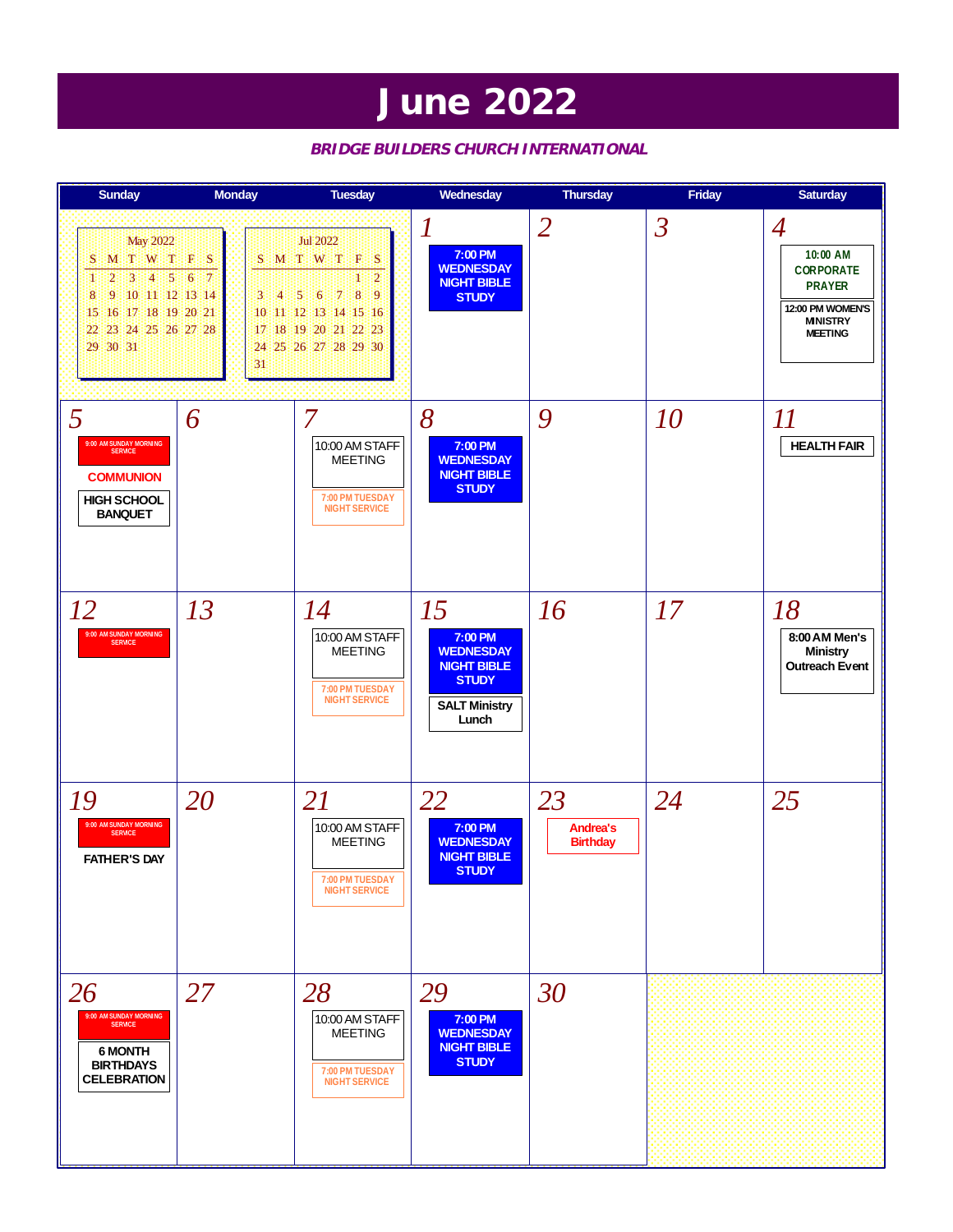### **June 2022**

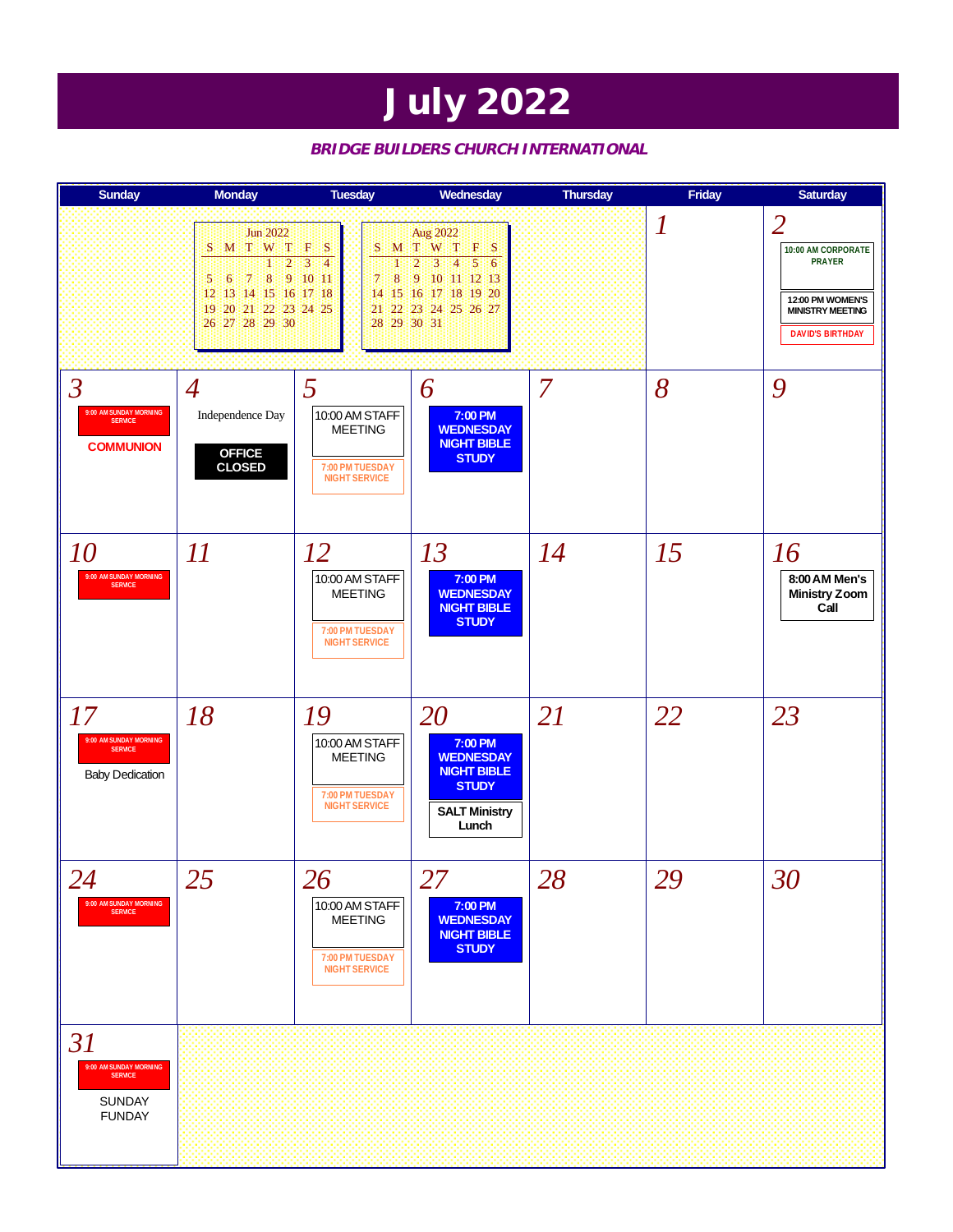### **July 2022**

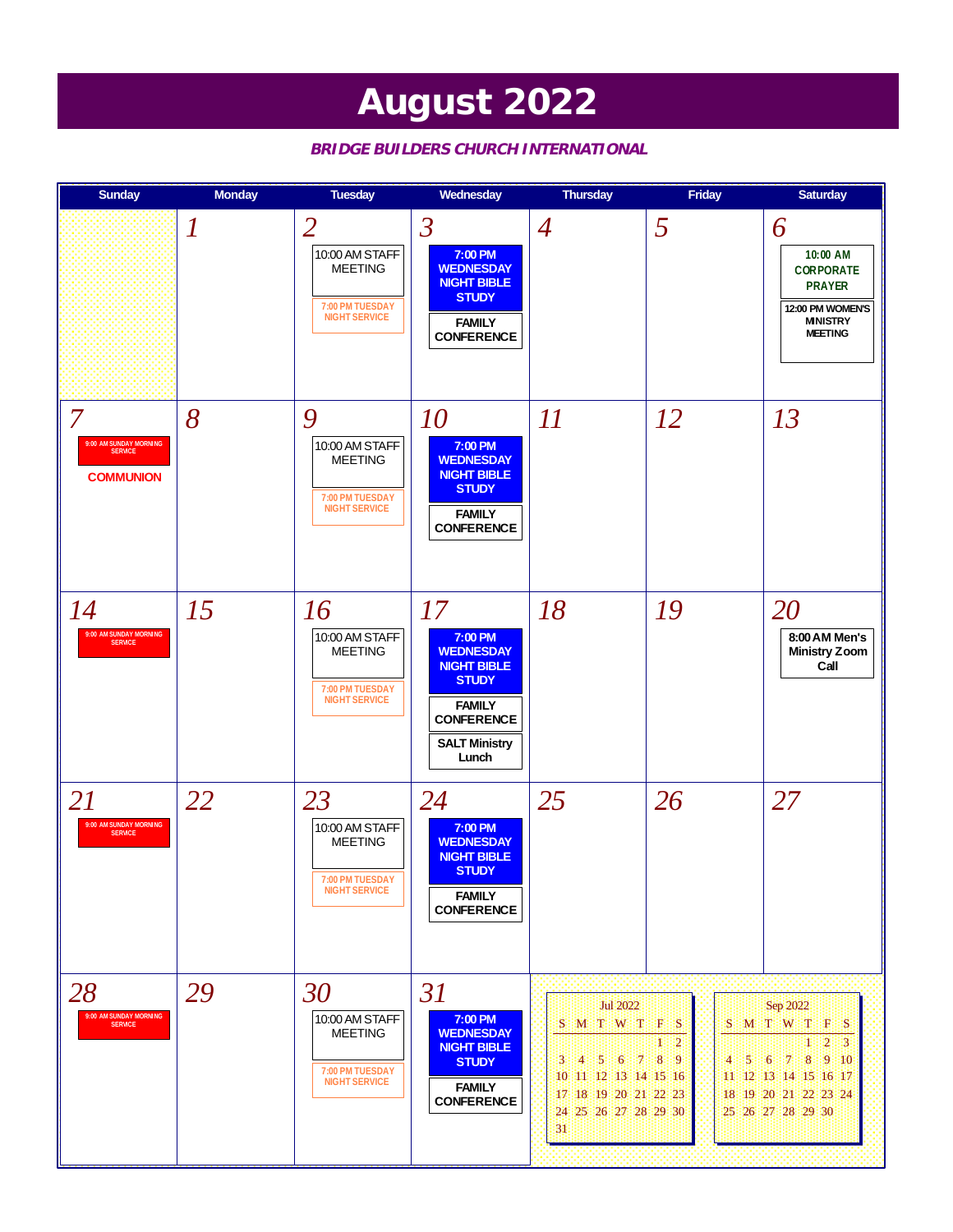### **August 2022**

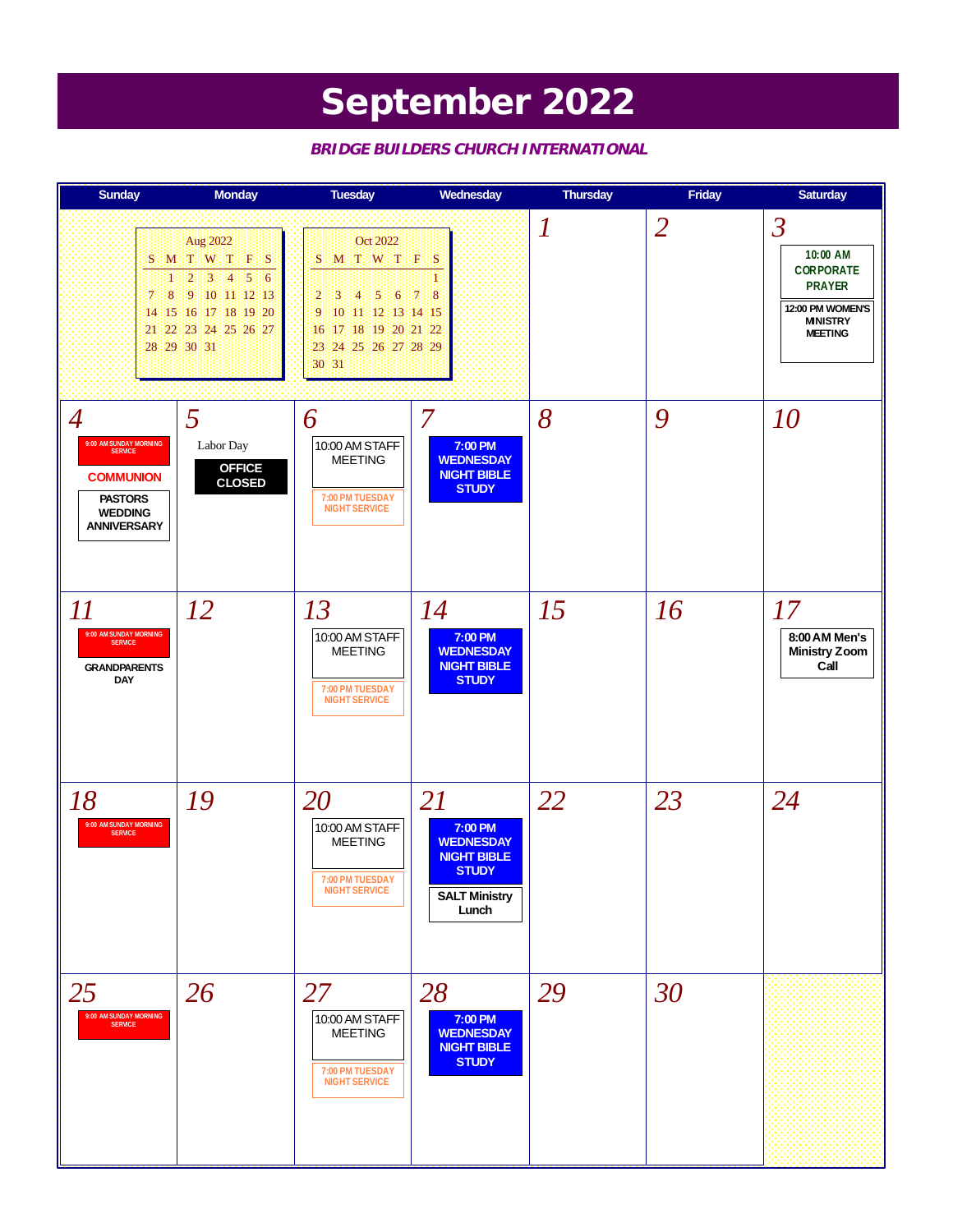# **September 2022**

| <b>Sunday</b>                                                                                                                     | <b>Monday</b>                                                                                                                                                           | <b>Tuesday</b>                                                                                                                                            | Wednesday                                                                                                | <b>Thursday</b>  | Friday         | <b>Saturday</b>                                                                                                                   |
|-----------------------------------------------------------------------------------------------------------------------------------|-------------------------------------------------------------------------------------------------------------------------------------------------------------------------|-----------------------------------------------------------------------------------------------------------------------------------------------------------|----------------------------------------------------------------------------------------------------------|------------------|----------------|-----------------------------------------------------------------------------------------------------------------------------------|
| S.<br>т<br>8 <sup>1</sup><br>7.                                                                                                   | Aug 2022<br>MTWTF<br><b>S</b><br>-2<br> 3 <br>ीके<br>$\mathbf{5}$<br>$\overline{6}$<br>- 9<br>1011112113<br>14 15 16 17 18 19 20<br>21 22 23 24 25 26 27<br>28 29 30 31 | Oct 2022<br>MT WTFS<br>S.<br>$\overline{5}$<br>:4<br>2<br>3<br>6<br>10 11 12 13 14 15<br>9<br>17 18 19 20 21 22<br>16<br>24 25 26 27 28 29<br>23<br>30 31 | $\overline{8}$<br>$\overline{7}$                                                                         | $\boldsymbol{l}$ | $\overline{2}$ | $\overline{\mathcal{S}}$<br>10:00 AM<br><b>CORPORATE</b><br><b>PRAYER</b><br>12:00 PM WOMEN'S<br><b>MNISTRY</b><br><b>MEETING</b> |
| $\overline{4}$<br>9:00 AM SUNDAY MORNING<br>SERVICE<br><b>COMMUNION</b><br><b>PASTORS</b><br><b>WEDDING</b><br><b>ANNIVERSARY</b> | 5<br>Labor Day<br><b>OFFICE</b><br><b>CLOSED</b>                                                                                                                        | 6<br>10:00 AM STAFF<br><b>MEETING</b><br>7:00 PM TUESDAY<br><b>NIGHT SERVICE</b>                                                                          | 7<br>7:00 PM<br><b>WEDNESDAY</b><br><b>NIGHT BIBLE</b><br><b>STUDY</b>                                   | 8                | 9              | 10                                                                                                                                |
| $I\hspace{-.1em}I$<br>9:00 AM SUNDAY MORNING<br><b>SERVICE</b><br><b>GRANDPARENTS</b><br><b>DAY</b>                               | <i>12</i>                                                                                                                                                               | 13<br>10:00 AM STAFF<br><b>MEETING</b><br>7:00 PM TUESDAY<br><b>NIGHT SERVICE</b>                                                                         | 14<br>7:00 PM<br><b>WEDNESDAY</b><br><b>NIGHT BIBLE</b><br><b>STUDY</b>                                  | 15               | 16             | 17<br>8:00 AM Men's<br><b>Ministry Zoom</b><br>Call                                                                               |
| 18<br>9:00 AM SUNDAY MORNING<br><b>SERVICE</b>                                                                                    | 19                                                                                                                                                                      | 20<br>10:00 AM STAFF<br><b>MEETING</b><br>7:00 PM TUESDAY<br><b>NIGHT SERVICE</b>                                                                         | 21<br>7:00 PM<br><b>WEDNESDAY</b><br><b>NIGHT BIBLE</b><br><b>STUDY</b><br><b>SALT Ministry</b><br>Lunch | 22               | 23             | 24                                                                                                                                |
| 25<br>9:00 AM SUNDAY MORNING                                                                                                      | 26                                                                                                                                                                      | 27<br>10:00 AM STAFF<br><b>MEETING</b><br>7:00 PM TUESDAY<br><b>NIGHT SERVICE</b>                                                                         | 28<br>7:00 PM<br><b>WEDNESDAY</b><br><b>NIGHT BIBLE</b><br><b>STUDY</b>                                  | 29               | 30             |                                                                                                                                   |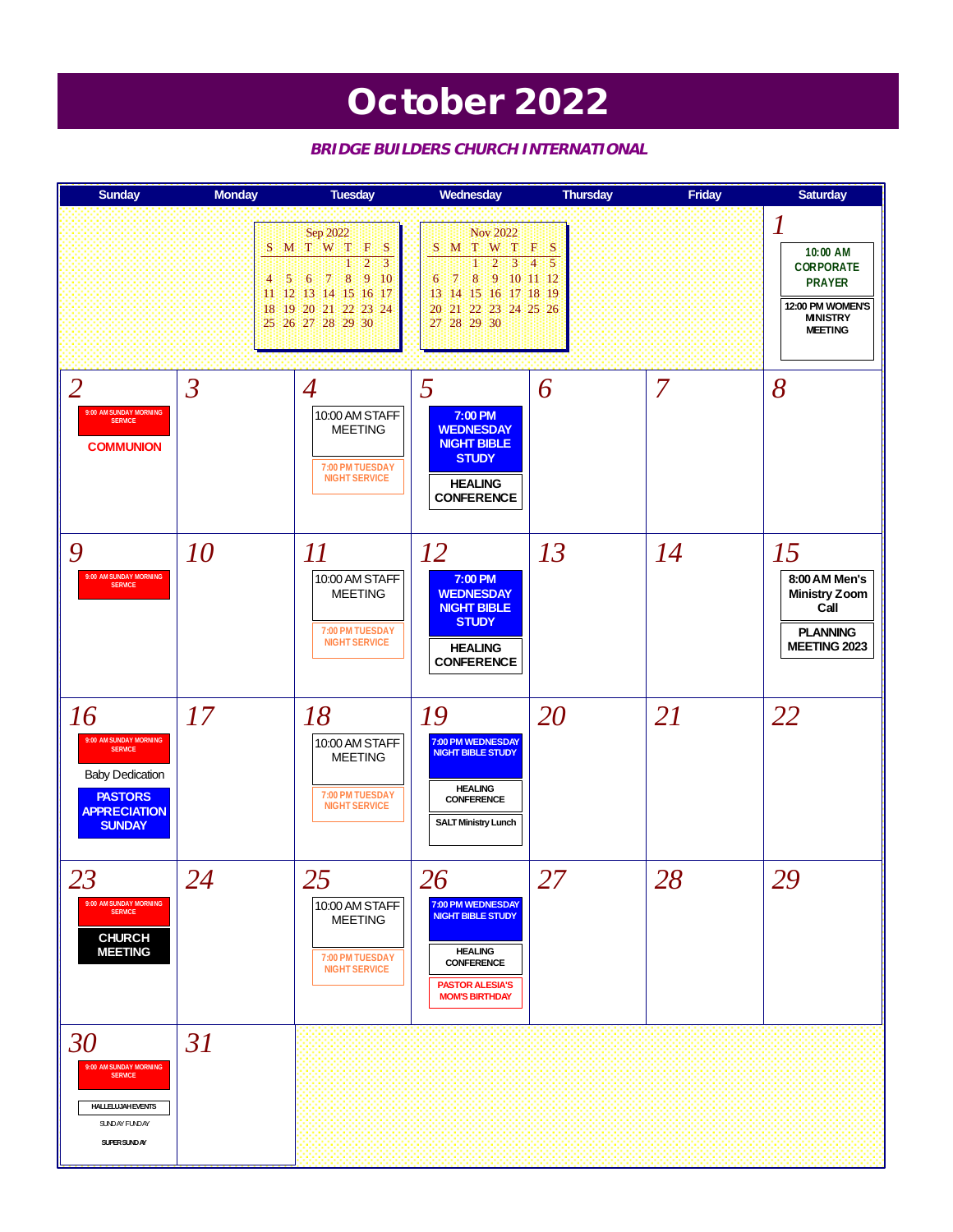### **October 2022**

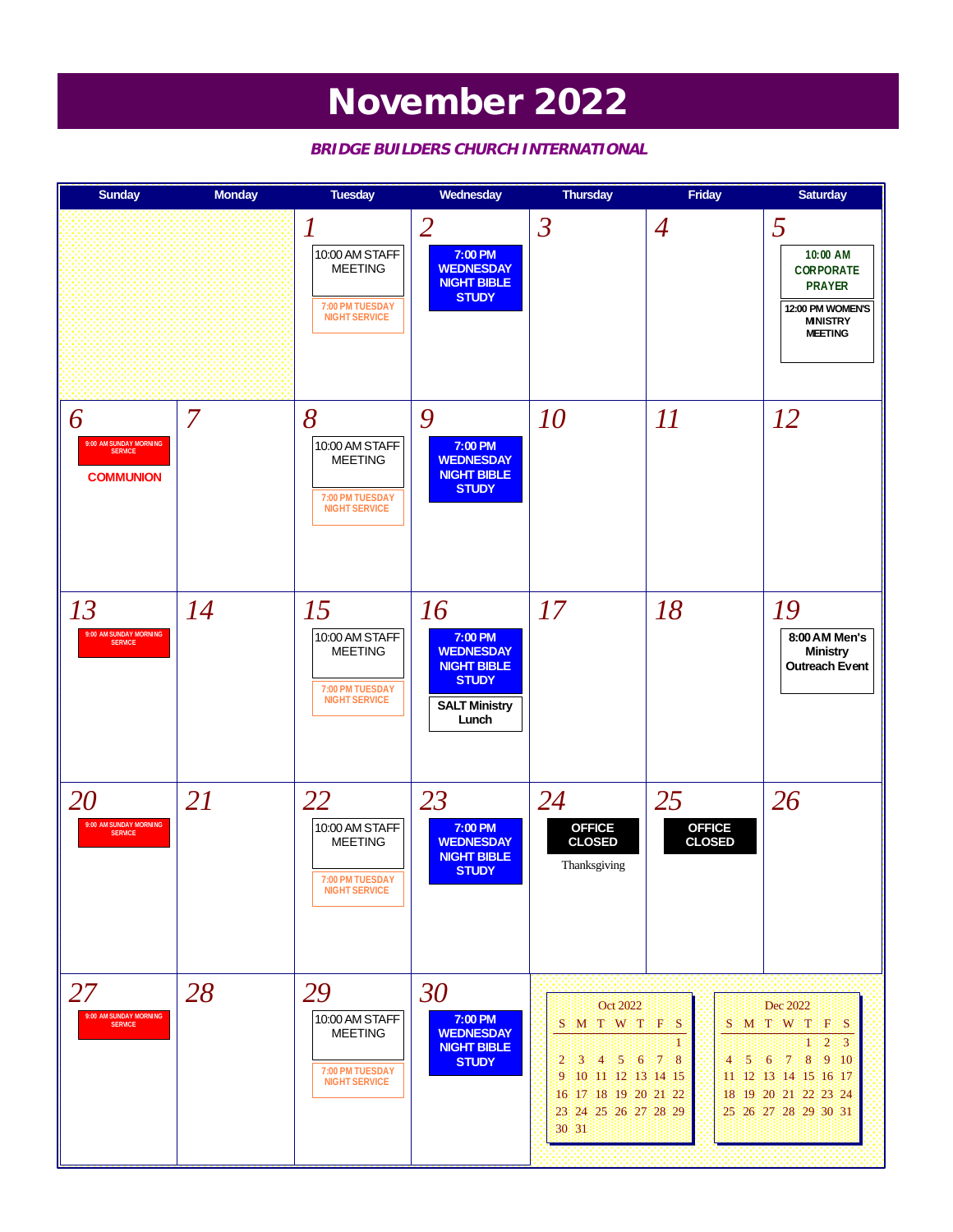### **November 2022**